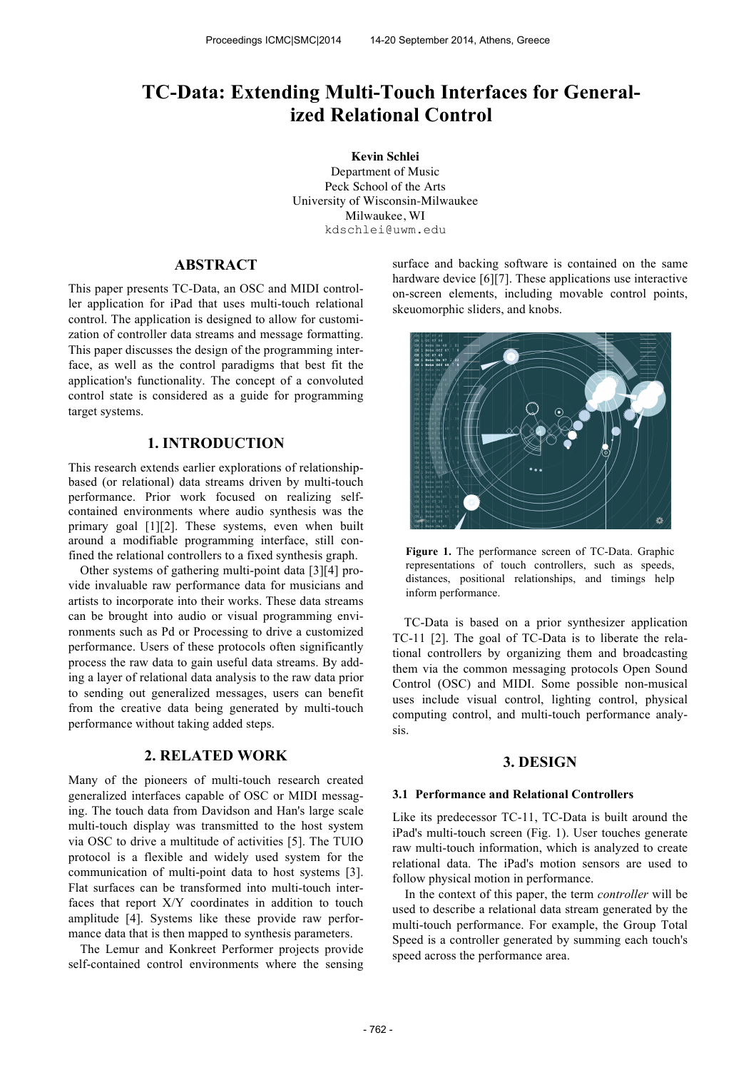# **TC-Data: Extending Multi-Touch Interfaces for Generalized Relational Control**

 **Kevin Schlei** Department of Music Peck School of the Arts University of Wisconsin-Milwaukee Milwaukee, WI kdschlei@uwm.edu

# **ABSTRACT**

This paper presents TC-Data, an OSC and MIDI controller application for iPad that uses multi-touch relational control. The application is designed to allow for customization of controller data streams and message formatting. This paper discusses the design of the programming interface, as well as the control paradigms that best fit the application's functionality. The concept of a convoluted control state is considered as a guide for programming target systems.

## **1. INTRODUCTION**

This research extends earlier explorations of relationshipbased (or relational) data streams driven by multi-touch performance. Prior work focused on realizing selfcontained environments where audio synthesis was the primary goal [1][2]. These systems, even when built around a modifiable programming interface, still confined the relational controllers to a fixed synthesis graph.

Other systems of gathering multi-point data [3][4] provide invaluable raw performance data for musicians and artists to incorporate into their works. These data streams can be brought into audio or visual programming environments such as Pd or Processing to drive a customized performance. Users of these protocols often significantly process the raw data to gain useful data streams. By adding a layer of relational data analysis to the raw data prior to sending out generalized messages, users can benefit from the creative data being generated by multi-touch performance without taking added steps.

## **2. RELATED WORK**

Many of the pioneers of multi-touch research created generalized interfaces capable of OSC or MIDI messaging. The touch data from Davidson and Han's large scale multi-touch display was transmitted to the host system via OSC to drive a multitude of activities [5]. The TUIO protocol is a flexible and widely used system for the communication of multi-point data to host systems [3]. Flat surfaces can be transformed into multi-touch interfaces that report X/Y coordinates in addition to touch amplitude [4]. Systems like these provide raw performance data that is then mapped to synthesis parameters.

The Lemur and Konkreet Performer projects provide self-contained control environments where the sensing surface and backing software is contained on the same hardware device [6][7]. These applications use interactive on-screen elements, including movable control points, skeuomorphic sliders, and knobs.



**Figure 1.** The performance screen of TC-Data. Graphic representations of touch controllers, such as speeds, distances, positional relationships, and timings help inform performance.

TC-Data is based on a prior synthesizer application TC-11 [2]. The goal of TC-Data is to liberate the relational controllers by organizing them and broadcasting them via the common messaging protocols Open Sound Control (OSC) and MIDI. Some possible non-musical uses include visual control, lighting control, physical computing control, and multi-touch performance analysis.

## **3. DESIGN**

#### **3.1 Performance and Relational Controllers**

Like its predecessor TC-11, TC-Data is built around the iPad's multi-touch screen (Fig. 1). User touches generate raw multi-touch information, which is analyzed to create relational data. The iPad's motion sensors are used to follow physical motion in performance.

In the context of this paper, the term *controller* will be used to describe a relational data stream generated by the multi-touch performance. For example, the Group Total Speed is a controller generated by summing each touch's speed across the performance area.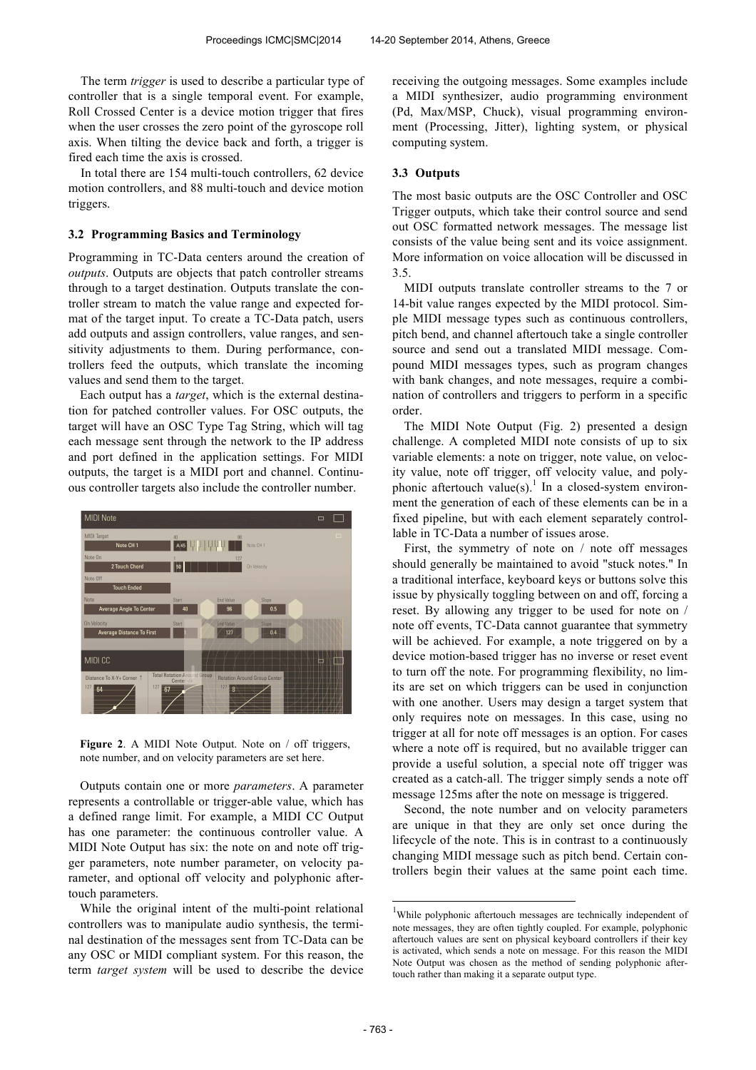The term *trigger* is used to describe a particular type of controller that is a single temporal event. For example, Roll Crossed Center is a device motion trigger that fires when the user crosses the zero point of the gyroscope roll axis. When tilting the device back and forth, a trigger is fired each time the axis is crossed.

In total there are 154 multi-touch controllers, 62 device motion controllers, and 88 multi-touch and device motion triggers.

#### **3.2 Programming Basics and Terminology**

Programming in TC-Data centers around the creation of *outputs*. Outputs are objects that patch controller streams through to a target destination. Outputs translate the controller stream to match the value range and expected format of the target input. To create a TC-Data patch, users add outputs and assign controllers, value ranges, and sensitivity adjustments to them. During performance, controllers feed the outputs, which translate the incoming values and send them to the target.

Each output has a *target*, which is the external destination for patched controller values. For OSC outputs, the target will have an OSC Type Tag String, which will tag each message sent through the network to the IP address and port defined in the application settings. For MIDI outputs, the target is a MIDI port and channel. Continuous controller targets also include the controller number.



Figure 2. A MIDI Note Output. Note on / off triggers, note number, and on velocity parameters are set here.

Outputs contain one or more *parameters*. A parameter represents a controllable or trigger-able value, which has a defined range limit. For example, a MIDI CC Output has one parameter: the continuous controller value. A MIDI Note Output has six: the note on and note off trigger parameters, note number parameter, on velocity parameter, and optional off velocity and polyphonic aftertouch parameters.

While the original intent of the multi-point relational controllers was to manipulate audio synthesis, the terminal destination of the messages sent from TC-Data can be any OSC or MIDI compliant system. For this reason, the term *target system* will be used to describe the device receiving the outgoing messages. Some examples include a MIDI synthesizer, audio programming environment (Pd, Max/MSP, Chuck), visual programming environment (Processing, Jitter), lighting system, or physical computing system.

### **3.3 Outputs**

The most basic outputs are the OSC Controller and OSC Trigger outputs, which take their control source and send out OSC formatted network messages. The message list consists of the value being sent and its voice assignment. More information on voice allocation will be discussed in 3.5.

MIDI outputs translate controller streams to the 7 or 14-bit value ranges expected by the MIDI protocol. Simple MIDI message types such as continuous controllers, pitch bend, and channel aftertouch take a single controller source and send out a translated MIDI message. Compound MIDI messages types, such as program changes with bank changes, and note messages, require a combination of controllers and triggers to perform in a specific order.

The MIDI Note Output (Fig. 2) presented a design challenge. A completed MIDI note consists of up to six variable elements: a note on trigger, note value, on velocity value, note off trigger, off velocity value, and polyphonic aftertouch value(s).<sup>1</sup> In a closed-system environment the generation of each of these elements can be in a fixed pipeline, but with each element separately controllable in TC-Data a number of issues arose.

First, the symmetry of note on / note off messages should generally be maintained to avoid "stuck notes." In a traditional interface, keyboard keys or buttons solve this issue by physically toggling between on and off, forcing a reset. By allowing any trigger to be used for note on / note off events, TC-Data cannot guarantee that symmetry will be achieved. For example, a note triggered on by a device motion-based trigger has no inverse or reset event to turn off the note. For programming flexibility, no limits are set on which triggers can be used in conjunction with one another. Users may design a target system that only requires note on messages. In this case, using no trigger at all for note off messages is an option. For cases where a note off is required, but no available trigger can provide a useful solution, a special note off trigger was created as a catch-all. The trigger simply sends a note off message 125ms after the note on message is triggered.

Second, the note number and on velocity parameters are unique in that they are only set once during the lifecycle of the note. This is in contrast to a continuously changing MIDI message such as pitch bend. Certain controllers begin their values at the same point each time.

-

 $1$ While polyphonic aftertouch messages are technically independent of note messages, they are often tightly coupled. For example, polyphonic aftertouch values are sent on physical keyboard controllers if their key is activated, which sends a note on message. For this reason the MIDI Note Output was chosen as the method of sending polyphonic aftertouch rather than making it a separate output type.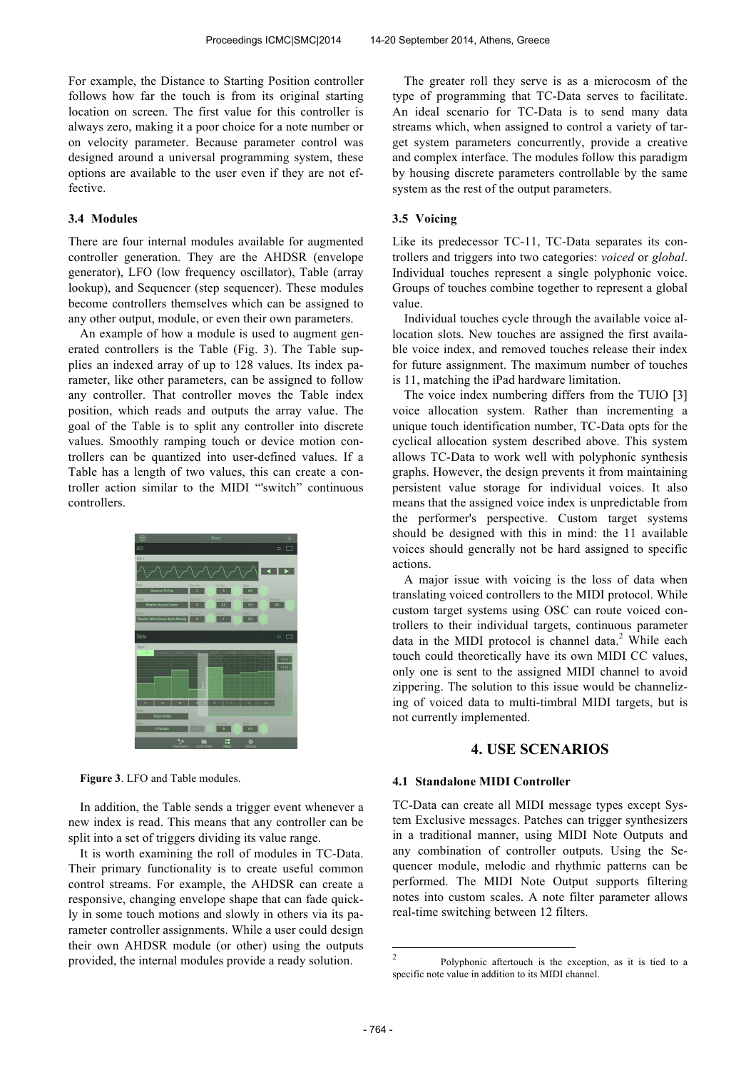For example, the Distance to Starting Position controller follows how far the touch is from its original starting location on screen. The first value for this controller is always zero, making it a poor choice for a note number or on velocity parameter. Because parameter control was designed around a universal programming system, these options are available to the user even if they are not effective.

#### **3.4 Modules**

There are four internal modules available for augmented controller generation. They are the AHDSR (envelope generator), LFO (low frequency oscillator), Table (array lookup), and Sequencer (step sequencer). These modules become controllers themselves which can be assigned to any other output, module, or even their own parameters.

An example of how a module is used to augment generated controllers is the Table (Fig. 3). The Table supplies an indexed array of up to 128 values. Its index parameter, like other parameters, can be assigned to follow any controller. That controller moves the Table index position, which reads and outputs the array value. The goal of the Table is to split any controller into discrete values. Smoothly ramping touch or device motion controllers can be quantized into user-defined values. If a Table has a length of two values, this can create a controller action similar to the MIDI "'switch" continuous controllers.



**Figure 3**. LFO and Table modules.

In addition, the Table sends a trigger event whenever a new index is read. This means that any controller can be split into a set of triggers dividing its value range.

It is worth examining the roll of modules in TC-Data. Their primary functionality is to create useful common control streams. For example, the AHDSR can create a responsive, changing envelope shape that can fade quickly in some touch motions and slowly in others via its parameter controller assignments. While a user could design their own AHDSR module (or other) using the outputs provided, the internal modules provide a ready solution.

The greater roll they serve is as a microcosm of the type of programming that TC-Data serves to facilitate. An ideal scenario for TC-Data is to send many data streams which, when assigned to control a variety of target system parameters concurrently, provide a creative and complex interface. The modules follow this paradigm by housing discrete parameters controllable by the same system as the rest of the output parameters.

## **3.5 Voicing**

Like its predecessor TC-11, TC-Data separates its controllers and triggers into two categories: *voiced* or *global*. Individual touches represent a single polyphonic voice. Groups of touches combine together to represent a global value.

Individual touches cycle through the available voice allocation slots. New touches are assigned the first available voice index, and removed touches release their index for future assignment. The maximum number of touches is 11, matching the iPad hardware limitation.

The voice index numbering differs from the TUIO [3] voice allocation system. Rather than incrementing a unique touch identification number, TC-Data opts for the cyclical allocation system described above. This system allows TC-Data to work well with polyphonic synthesis graphs. However, the design prevents it from maintaining persistent value storage for individual voices. It also means that the assigned voice index is unpredictable from the performer's perspective. Custom target systems should be designed with this in mind: the 11 available voices should generally not be hard assigned to specific actions.

A major issue with voicing is the loss of data when translating voiced controllers to the MIDI protocol. While custom target systems using OSC can route voiced controllers to their individual targets, continuous parameter data in the MIDI protocol is channel data.<sup>2</sup> While each touch could theoretically have its own MIDI CC values, only one is sent to the assigned MIDI channel to avoid zippering. The solution to this issue would be channelizing of voiced data to multi-timbral MIDI targets, but is not currently implemented.

## **4. USE SCENARIOS**

#### **4.1 Standalone MIDI Controller**

TC-Data can create all MIDI message types except System Exclusive messages. Patches can trigger synthesizers in a traditional manner, using MIDI Note Outputs and any combination of controller outputs. Using the Sequencer module, melodic and rhythmic patterns can be performed. The MIDI Note Output supports filtering notes into custom scales. A note filter parameter allows real-time switching between 12 filters.

 $\frac{1}{2}$  Polyphonic aftertouch is the exception, as it is tied to a specific note value in addition to its MIDI channel.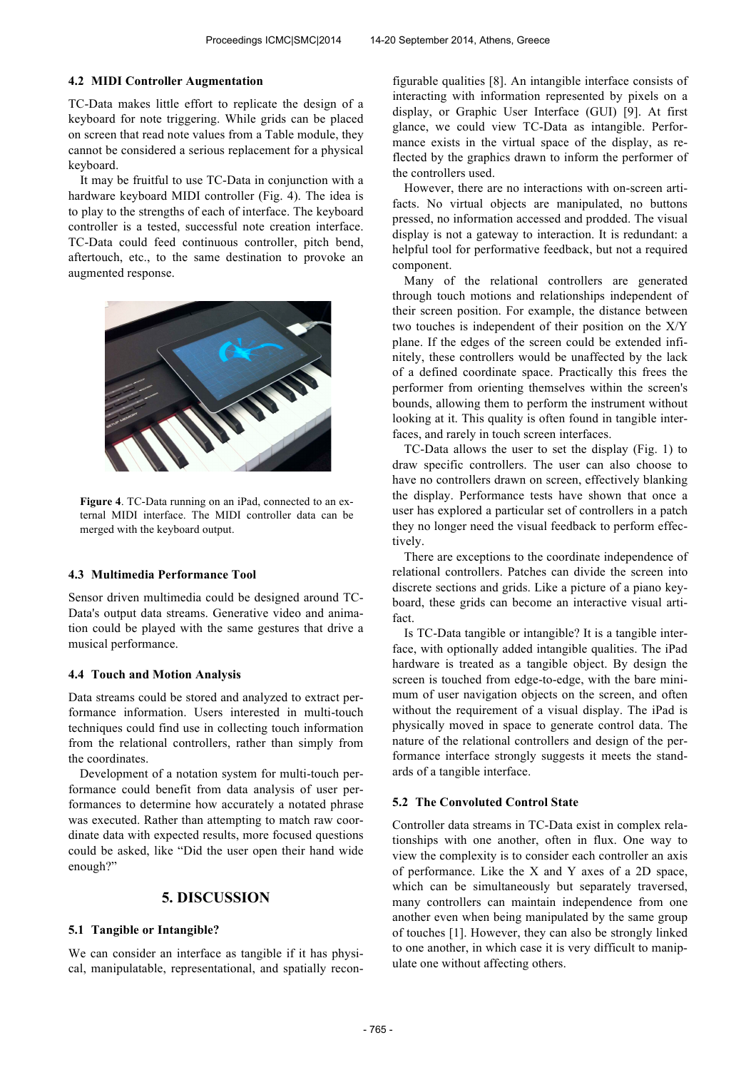#### **4.2 MIDI Controller Augmentation**

TC-Data makes little effort to replicate the design of a keyboard for note triggering. While grids can be placed on screen that read note values from a Table module, they cannot be considered a serious replacement for a physical keyboard.

It may be fruitful to use TC-Data in conjunction with a hardware keyboard MIDI controller (Fig. 4). The idea is to play to the strengths of each of interface. The keyboard controller is a tested, successful note creation interface. TC-Data could feed continuous controller, pitch bend, aftertouch, etc., to the same destination to provoke an augmented response.



**Figure 4**. TC-Data running on an iPad, connected to an external MIDI interface. The MIDI controller data can be merged with the keyboard output.

#### **4.3 Multimedia Performance Tool**

Sensor driven multimedia could be designed around TC-Data's output data streams. Generative video and animation could be played with the same gestures that drive a musical performance.

### **4.4 Touch and Motion Analysis**

Data streams could be stored and analyzed to extract performance information. Users interested in multi-touch techniques could find use in collecting touch information from the relational controllers, rather than simply from the coordinates.

Development of a notation system for multi-touch performance could benefit from data analysis of user performances to determine how accurately a notated phrase was executed. Rather than attempting to match raw coordinate data with expected results, more focused questions could be asked, like "Did the user open their hand wide enough?"

## **5. DISCUSSION**

#### **5.1 Tangible or Intangible?**

We can consider an interface as tangible if it has physical, manipulatable, representational, and spatially reconfigurable qualities [8]. An intangible interface consists of interacting with information represented by pixels on a display, or Graphic User Interface (GUI) [9]. At first glance, we could view TC-Data as intangible. Performance exists in the virtual space of the display, as reflected by the graphics drawn to inform the performer of the controllers used.

However, there are no interactions with on-screen artifacts. No virtual objects are manipulated, no buttons pressed, no information accessed and prodded. The visual display is not a gateway to interaction. It is redundant: a helpful tool for performative feedback, but not a required component.

Many of the relational controllers are generated through touch motions and relationships independent of their screen position. For example, the distance between two touches is independent of their position on the X/Y plane. If the edges of the screen could be extended infinitely, these controllers would be unaffected by the lack of a defined coordinate space. Practically this frees the performer from orienting themselves within the screen's bounds, allowing them to perform the instrument without looking at it. This quality is often found in tangible interfaces, and rarely in touch screen interfaces.

TC-Data allows the user to set the display (Fig. 1) to draw specific controllers. The user can also choose to have no controllers drawn on screen, effectively blanking the display. Performance tests have shown that once a user has explored a particular set of controllers in a patch they no longer need the visual feedback to perform effectively.

There are exceptions to the coordinate independence of relational controllers. Patches can divide the screen into discrete sections and grids. Like a picture of a piano keyboard, these grids can become an interactive visual artifact.

Is TC-Data tangible or intangible? It is a tangible interface, with optionally added intangible qualities. The iPad hardware is treated as a tangible object. By design the screen is touched from edge-to-edge, with the bare minimum of user navigation objects on the screen, and often without the requirement of a visual display. The iPad is physically moved in space to generate control data. The nature of the relational controllers and design of the performance interface strongly suggests it meets the standards of a tangible interface.

## **5.2 The Convoluted Control State**

Controller data streams in TC-Data exist in complex relationships with one another, often in flux. One way to view the complexity is to consider each controller an axis of performance. Like the X and Y axes of a 2D space, which can be simultaneously but separately traversed, many controllers can maintain independence from one another even when being manipulated by the same group of touches [1]. However, they can also be strongly linked to one another, in which case it is very difficult to manipulate one without affecting others.